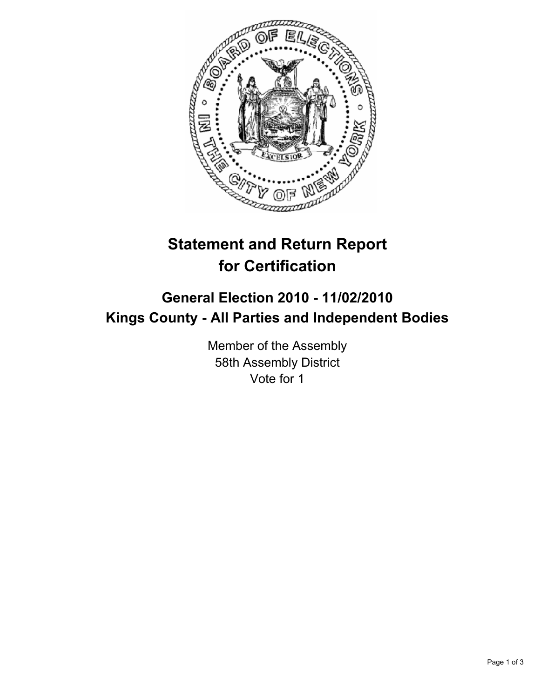

# **Statement and Return Report for Certification**

## **General Election 2010 - 11/02/2010 Kings County - All Parties and Independent Bodies**

Member of the Assembly 58th Assembly District Vote for 1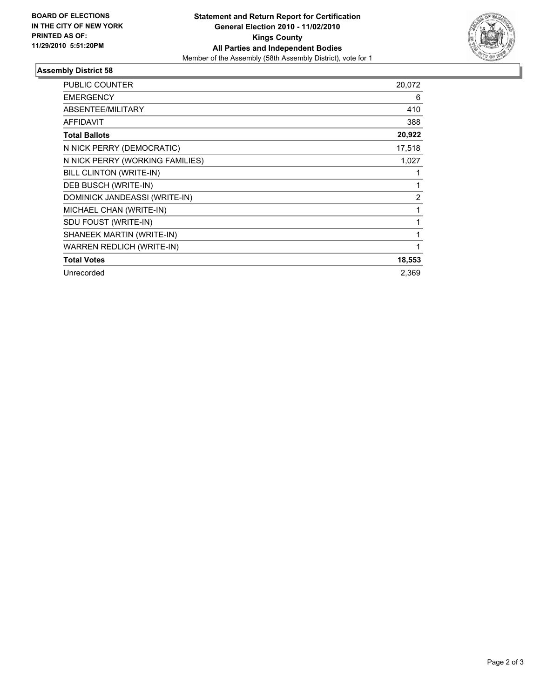

### **Assembly District 58**

| <b>PUBLIC COUNTER</b>            | 20,072         |
|----------------------------------|----------------|
| <b>EMERGENCY</b>                 | 6              |
| ABSENTEE/MILITARY                | 410            |
| <b>AFFIDAVIT</b>                 | 388            |
| <b>Total Ballots</b>             | 20,922         |
| N NICK PERRY (DEMOCRATIC)        | 17,518         |
| N NICK PERRY (WORKING FAMILIES)  | 1,027          |
| BILL CLINTON (WRITE-IN)          | 1              |
| DEB BUSCH (WRITE-IN)             | 1              |
| DOMINICK JANDEASSI (WRITE-IN)    | $\overline{2}$ |
| MICHAEL CHAN (WRITE-IN)          | 1              |
| SDU FOUST (WRITE-IN)             | 1              |
| SHANEEK MARTIN (WRITE-IN)        | $\mathbf{1}$   |
| <b>WARREN REDLICH (WRITE-IN)</b> | 1              |
| <b>Total Votes</b>               | 18,553         |
| Unrecorded                       | 2,369          |